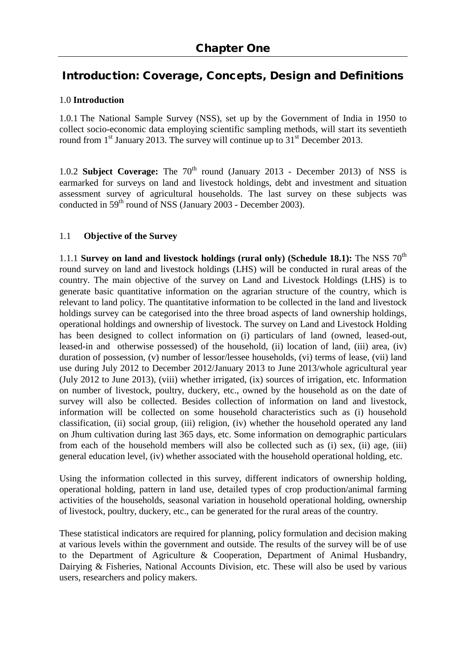# Introduction: Coverage, Concepts, Design and Definitions

#### 1.0 **Introduction**

1.0.1 The National Sample Survey (NSS), set up by the Government of India in 1950 to collect socio-economic data employing scientific sampling methods, will start its seventieth round from  $1<sup>st</sup>$  January 2013. The survey will continue up to  $31<sup>st</sup>$  December 2013.

1.0.2 **Subject Coverage:** The 70<sup>th</sup> round (January 2013 - December 2013) of NSS is earmarked for surveys on land and livestock holdings, debt and investment and situation assessment survey of agricultural households. The last survey on these subjects was conducted in 59<sup>th</sup> round of NSS (January 2003 - December 2003).

### 1.1 **Objective of the Survey**

1.1.1 **Survey on land and livestock holdings (rural only) (Schedule 18.1):** The NSS  $70<sup>th</sup>$ round survey on land and livestock holdings (LHS) will be conducted in rural areas of the country. The main objective of the survey on Land and Livestock Holdings (LHS) is to generate basic quantitative information on the agrarian structure of the country, which is relevant to land policy. The quantitative information to be collected in the land and livestock holdings survey can be categorised into the three broad aspects of land ownership holdings, operational holdings and ownership of livestock. The survey on Land and Livestock Holding has been designed to collect information on (i) particulars of land (owned, leased-out, leased-in and otherwise possessed) of the household, (ii) location of land, (iii) area, (iv) duration of possession, (v) number of lessor/lessee households, (vi) terms of lease, (vii) land use during July 2012 to December 2012/January 2013 to June 2013/whole agricultural year (July 2012 to June 2013), (viii) whether irrigated, (ix) sources of irrigation, etc. Information on number of livestock, poultry, duckery, etc., owned by the household as on the date of survey will also be collected. Besides collection of information on land and livestock, information will be collected on some household characteristics such as (i) household classification, (ii) social group, (iii) religion, (iv) whether the household operated any land on Jhum cultivation during last 365 days, etc. Some information on demographic particulars from each of the household members will also be collected such as (i) sex, (ii) age, (iii) general education level, (iv) whether associated with the household operational holding, etc.

Using the information collected in this survey, different indicators of ownership holding, operational holding, pattern in land use, detailed types of crop production/animal farming activities of the households, seasonal variation in household operational holding, ownership of livestock, poultry, duckery, etc., can be generated for the rural areas of the country.

These statistical indicators are required for planning, policy formulation and decision making at various levels within the government and outside. The results of the survey will be of use to the Department of Agriculture & Cooperation, Department of Animal Husbandry, Dairying & Fisheries, National Accounts Division, etc. These will also be used by various users, researchers and policy makers.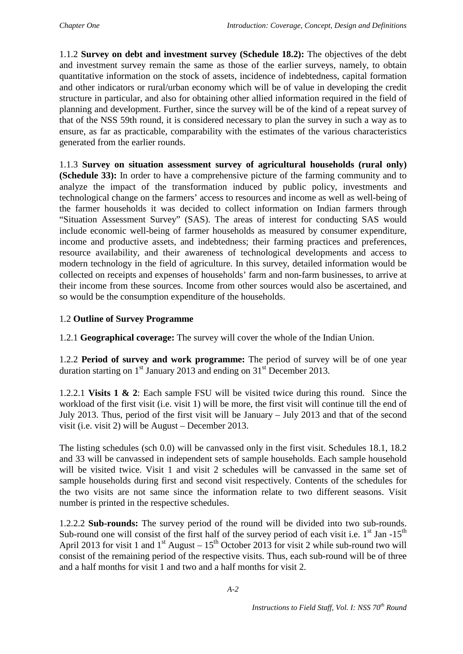1.1.2 **Survey on debt and investment survey (Schedule 18.2):** The objectives of the debt and investment survey remain the same as those of the earlier surveys, namely, to obtain quantitative information on the stock of assets, incidence of indebtedness, capital formation and other indicators or rural/urban economy which will be of value in developing the credit structure in particular, and also for obtaining other allied information required in the field of planning and development. Further, since the survey will be of the kind of a repeat survey of that of the NSS 59th round, it is considered necessary to plan the survey in such a way as to ensure, as far as practicable, comparability with the estimates of the various characteristics generated from the earlier rounds.

1.1.3 **Survey on situation assessment survey of agricultural households (rural only) (Schedule 33):** In order to have a comprehensive picture of the farming community and to analyze the impact of the transformation induced by public policy, investments and technological change on the farmers' access to resources and income as well as well-being of the farmer households it was decided to collect information on Indian farmers through "Situation Assessment Survey" (SAS). The areas of interest for conducting SAS would include economic well-being of farmer households as measured by consumer expenditure, income and productive assets, and indebtedness; their farming practices and preferences, resource availability, and their awareness of technological developments and access to modern technology in the field of agriculture. In this survey, detailed information would be collected on receipts and expenses of households' farm and non-farm businesses, to arrive at their income from these sources. Income from other sources would also be ascertained, and so would be the consumption expenditure of the households.

### 1.2 **Outline of Survey Programme**

1.2.1 **Geographical coverage:** The survey will cover the whole of the Indian Union.

1.2.2 **Period of survey and work programme:** The period of survey will be of one year duration starting on  $1<sup>st</sup>$  January 2013 and ending on  $31<sup>st</sup>$  December 2013.

1.2.2.1 **Visits 1 & 2**: Each sample FSU will be visited twice during this round. Since the workload of the first visit (i.e. visit 1) will be more, the first visit will continue till the end of July 2013. Thus, period of the first visit will be January – July 2013 and that of the second visit (i.e. visit 2) will be August – December 2013.

The listing schedules (sch 0.0) will be canvassed only in the first visit. Schedules 18.1, 18.2 and 33 will be canvassed in independent sets of sample households. Each sample household will be visited twice. Visit 1 and visit 2 schedules will be canvassed in the same set of sample households during first and second visit respectively. Contents of the schedules for the two visits are not same since the information relate to two different seasons. Visit number is printed in the respective schedules.

1.2.2.2 **Sub-rounds:** The survey period of the round will be divided into two sub-rounds. Sub-round one will consist of the first half of the survey period of each visit i.e.  $1<sup>st</sup>$  Jan -15<sup>th</sup> April 2013 for visit 1 and  $1<sup>st</sup>$  August –  $15<sup>th</sup>$  October 2013 for visit 2 while sub-round two will consist of the remaining period of the respective visits. Thus, each sub-round will be of three and a half months for visit 1 and two and a half months for visit 2.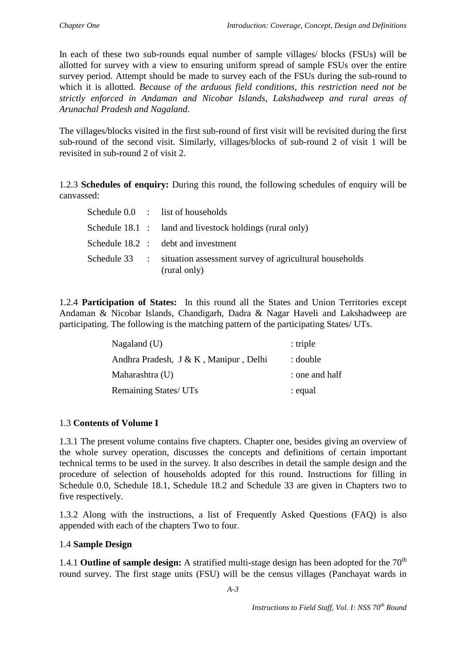In each of these two sub-rounds equal number of sample villages/ blocks (FSUs) will be allotted for survey with a view to ensuring uniform spread of sample FSUs over the entire survey period. Attempt should be made to survey each of the FSUs during the sub-round to which it is allotted. *Because of the arduous field conditions, this restriction need not be strictly enforced in Andaman and Nicobar Islands, Lakshadweep and rural areas of Arunachal Pradesh and Nagaland.*

The villages/blocks visited in the first sub-round of first visit will be revisited during the first sub-round of the second visit. Similarly, villages/blocks of sub-round 2 of visit 1 will be revisited in sub-round 2 of visit 2.

1.2.3 **Schedules of enquiry:** During this round, the following schedules of enquiry will be canvassed:

|  | Schedule $0.0$ : list of households                                                  |
|--|--------------------------------------------------------------------------------------|
|  | Schedule 18.1 : land and livestock holdings (rural only)                             |
|  | Schedule 18.2 : debt and investment                                                  |
|  | Schedule 33 : situation assessment survey of agricultural households<br>(rural only) |

1.2.4 **Participation of States:** In this round all the States and Union Territories except Andaman & Nicobar Islands, Chandigarh, Dadra & Nagar Haveli and Lakshadweep are participating. The following is the matching pattern of the participating States/ UTs.

| Nagaland $(U)$                        | $:$ triple     |
|---------------------------------------|----------------|
| Andhra Pradesh, J & K, Manipur, Delhi | : double       |
| Maharashtra (U)                       | : one and half |
| <b>Remaining States/ UTs</b>          | : equal        |

#### 1.3 **Contents of Volume I**

1.3.1 The present volume contains five chapters. Chapter one, besides giving an overview of the whole survey operation, discusses the concepts and definitions of certain important technical terms to be used in the survey. It also describes in detail the sample design and the procedure of selection of households adopted for this round. Instructions for filling in Schedule 0.0, Schedule 18.1, Schedule 18.2 and Schedule 33 are given in Chapters two to five respectively.

1.3.2 Along with the instructions, a list of Frequently Asked Questions (FAQ) is also appended with each of the chapters Two to four.

# 1.4 **Sample Design**

1.4.1 **Outline of sample design:** A stratified multi-stage design has been adopted for the 70<sup>th</sup> round survey. The first stage units (FSU) will be the census villages (Panchayat wards in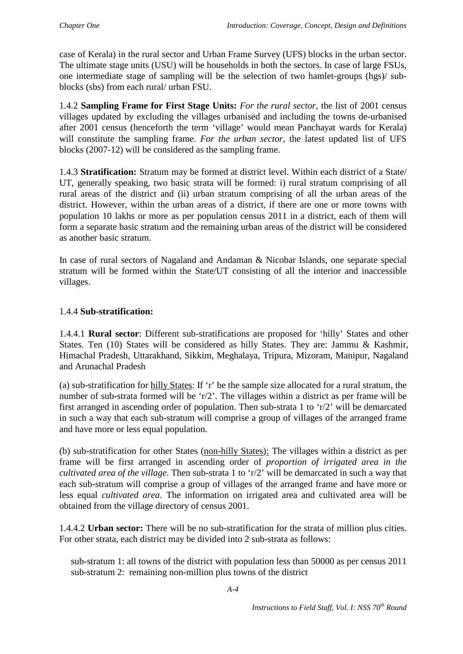case of Kerala) in the rural sector and Urban Frame Survey (UFS) blocks in the urban sector. The ultimate stage units (USU) will be households in both the sectors. In case of large FSUs, one intermediate stage of sampling will be the selection of two hamlet-groups (hgs)/ subblocks (sbs) from each rural/ urban FSU.

1.4.2 **Sampling Frame for First Stage Units:** *For the rural sector,* the list of 2001 census villages updated by excluding the villages urbanised and including the towns de-urbanised after 2001 census (henceforth the term 'village' would mean Panchayat wards for Kerala) will constitute the sampling frame. *For the urban sector*, the latest updated list of UFS blocks (2007-12) will be considered as the sampling frame.

1.4.3 **Stratification:** Stratum may be formed at district level. Within each district of a State/ UT, generally speaking, two basic strata will be formed: i) rural stratum comprising of all rural areas of the district and (ii) urban stratum comprising of all the urban areas of the district. However, within the urban areas of a district, if there are one or more towns with population 10 lakhs or more as per population census 2011 in a district, each of them will form a separate basic stratum and the remaining urban areas of the district will be considered as another basic stratum.

In case of rural sectors of Nagaland and Andaman & Nicobar Islands, one separate special stratum will be formed within the State/UT consisting of all the interior and inaccessible villages.

### 1.4.4 **Sub-stratification:**

1.4.4.1 **Rural sector**: Different sub-stratifications are proposed for 'hilly' States and other States. Ten (10) States will be considered as hilly States. They are: Jammu & Kashmir, Himachal Pradesh, Uttarakhand, Sikkim, Meghalaya, Tripura, Mizoram, Manipur, Nagaland and Arunachal Pradesh

(a) sub-stratification for hilly States: If 'r' be the sample size allocated for a rural stratum, the number of sub-strata formed will be 'r/2'. The villages within a district as per frame will be first arranged in ascending order of population. Then sub-strata 1 to 'r/2' will be demarcated in such a way that each sub-stratum will comprise a group of villages of the arranged frame and have more or less equal population.

(b) sub-stratification for other States (non-hilly States): The villages within a district as per frame will be first arranged in ascending order of *proportion of irrigated area in the cultivated area of the village*. Then sub-strata 1 to 'r/2' will be demarcated in such a way that each sub-stratum will comprise a group of villages of the arranged frame and have more or less equal *cultivated area*. The information on irrigated area and cultivated area will be obtained from the village directory of census 2001.

1.4.4.2 **Urban sector:** There will be no sub-stratification for the strata of million plus cities. For other strata, each district may be divided into 2 sub-strata as follows:

 sub-stratum 1: all towns of the district with population less than 50000 as per census 2011 sub-stratum 2: remaining non-million plus towns of the district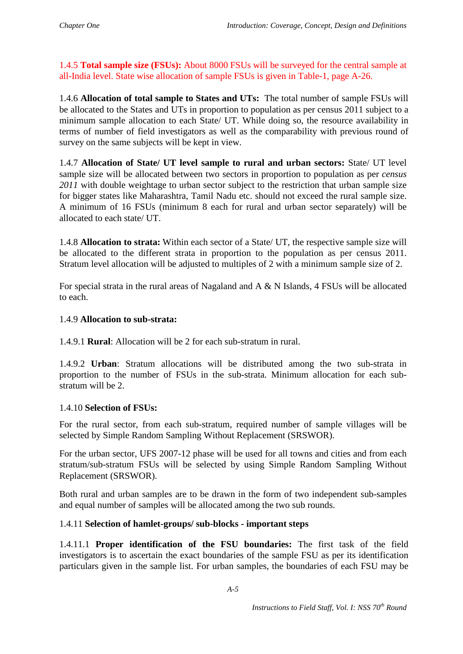1.4.5 **Total sample size (FSUs):** About 8000 FSUs will be surveyed for the central sample at all-India level. State wise allocation of sample FSUs is given in Table-1, page A-26.

1.4.6 **Allocation of total sample to States and UTs:** The total number of sample FSUs will be allocated to the States and UTs in proportion to population as per census 2011 subject to a minimum sample allocation to each State/ UT. While doing so, the resource availability in terms of number of field investigators as well as the comparability with previous round of survey on the same subjects will be kept in view.

1.4.7 **Allocation of State/ UT level sample to rural and urban sectors:** State/ UT level sample size will be allocated between two sectors in proportion to population as per *census 2011* with double weightage to urban sector subject to the restriction that urban sample size for bigger states like Maharashtra, Tamil Nadu etc. should not exceed the rural sample size. A minimum of 16 FSUs (minimum 8 each for rural and urban sector separately) will be allocated to each state/ UT.

1.4.8 **Allocation to strata:** Within each sector of a State/ UT, the respective sample size will be allocated to the different strata in proportion to the population as per census 2011. Stratum level allocation will be adjusted to multiples of 2 with a minimum sample size of 2.

For special strata in the rural areas of Nagaland and A & N Islands, 4 FSUs will be allocated to each.

### 1.4.9 **Allocation to sub-strata:**

1.4.9.1 **Rural**: Allocation will be 2 for each sub-stratum in rural.

1.4.9.2 **Urban**: Stratum allocations will be distributed among the two sub-strata in proportion to the number of FSUs in the sub-strata. Minimum allocation for each substratum will be 2.

# 1.4.10 **Selection of FSUs:**

For the rural sector, from each sub-stratum, required number of sample villages will be selected by Simple Random Sampling Without Replacement (SRSWOR).

For the urban sector, UFS 2007-12 phase will be used for all towns and cities and from each stratum/sub-stratum FSUs will be selected by using Simple Random Sampling Without Replacement (SRSWOR).

Both rural and urban samples are to be drawn in the form of two independent sub-samples and equal number of samples will be allocated among the two sub rounds.

#### 1.4.11 **Selection of hamlet-groups/ sub-blocks - important steps**

1.4.11.1 **Proper identification of the FSU boundaries:** The first task of the field investigators is to ascertain the exact boundaries of the sample FSU as per its identification particulars given in the sample list. For urban samples, the boundaries of each FSU may be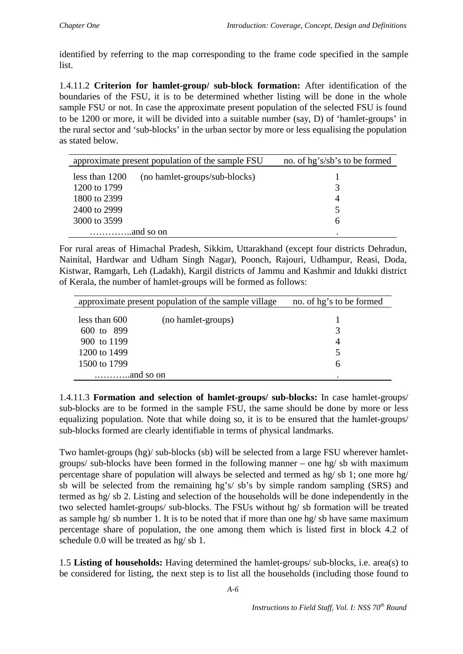identified by referring to the map corresponding to the frame code specified in the sample list.

1.4.11.2 **Criterion for hamlet-group/ sub-block formation:** After identification of the boundaries of the FSU, it is to be determined whether listing will be done in the whole sample FSU or not. In case the approximate present population of the selected FSU is found to be 1200 or more, it will be divided into a suitable number (say, D) of 'hamlet-groups' in the rural sector and 'sub-blocks' in the urban sector by more or less equalising the population as stated below.

| approximate present population of the sample FSU | no. of hg's/sb's to be formed |
|--------------------------------------------------|-------------------------------|
| less than 1200<br>(no hamlet-groups/sub-blocks)  |                               |
| 1200 to 1799                                     |                               |
| 1800 to 2399                                     |                               |
| 2400 to 2999                                     |                               |
| 3000 to 3599                                     | h                             |
|                                                  |                               |

For rural areas of Himachal Pradesh, Sikkim, Uttarakhand (except four districts Dehradun, Nainital, Hardwar and Udham Singh Nagar), Poonch, Rajouri, Udhampur, Reasi, Doda, Kistwar, Ramgarh, Leh (Ladakh), Kargil districts of Jammu and Kashmir and Idukki district of Kerala, the number of hamlet-groups will be formed as follows:

| approximate present population of the sample village | no. of hg's to be formed |  |  |
|------------------------------------------------------|--------------------------|--|--|
| less than 600<br>(no hamlet-groups)                  |                          |  |  |
| 600 to 899                                           | 3                        |  |  |
| 900 to 1199                                          |                          |  |  |
| 1200 to 1499                                         | 4                        |  |  |
|                                                      |                          |  |  |
| 1500 to 1799                                         | 6                        |  |  |
|                                                      | ٠                        |  |  |

1.4.11.3 **Formation and selection of hamlet-groups/ sub-blocks:** In case hamlet-groups/ sub-blocks are to be formed in the sample FSU, the same should be done by more or less equalizing population. Note that while doing so, it is to be ensured that the hamlet-groups/ sub-blocks formed are clearly identifiable in terms of physical landmarks.

Two hamlet-groups (hg)/ sub-blocks (sb) will be selected from a large FSU wherever hamletgroups/ sub-blocks have been formed in the following manner – one hg/ sb with maximum percentage share of population will always be selected and termed as hg/ sb 1; one more hg/ sb will be selected from the remaining hg's/ sb's by simple random sampling (SRS) and termed as hg/ sb 2. Listing and selection of the households will be done independently in the two selected hamlet-groups/ sub-blocks. The FSUs without hg/ sb formation will be treated as sample hg/ sb number 1. It is to be noted that if more than one hg/ sb have same maximum percentage share of population, the one among them which is listed first in block 4.2 of schedule 0.0 will be treated as hg/ sb 1.

1.5 **Listing of households:** Having determined the hamlet-groups/ sub-blocks, i.e. area(s) to be considered for listing, the next step is to list all the households (including those found to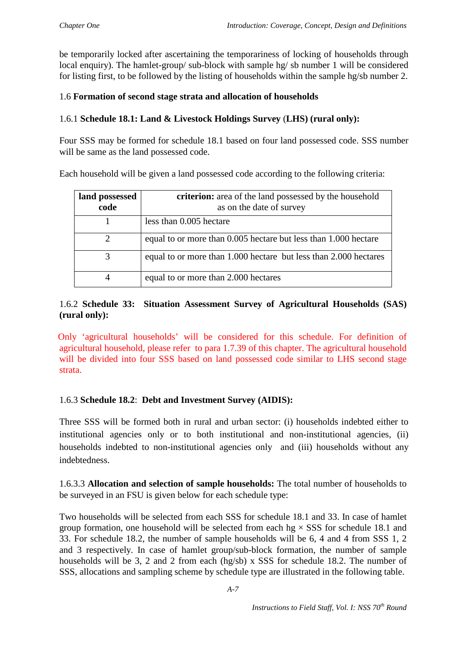be temporarily locked after ascertaining the temporariness of locking of households through local enquiry). The hamlet-group/ sub-block with sample hg/ sb number 1 will be considered for listing first, to be followed by the listing of households within the sample hg/sb number 2.

### 1.6 **Formation of second stage strata and allocation of households**

# 1.6.1 **Schedule 18.1: Land & Livestock Holdings Survey** (**LHS) (rural only):**

Four SSS may be formed for schedule 18.1 based on four land possessed code. SSS number will be same as the land possessed code.

Each household will be given a land possessed code according to the following criteria:

| land possessed<br>code | <b>criterion:</b> area of the land possessed by the household<br>as on the date of survey |
|------------------------|-------------------------------------------------------------------------------------------|
|                        | less than 0.005 hectare                                                                   |
| 2                      | equal to or more than 0.005 hectare but less than 1.000 hectare                           |
| 3                      | equal to or more than 1.000 hectare but less than 2.000 hectares                          |
|                        | equal to or more than 2.000 hectares                                                      |

### 1.6.2 **Schedule 33: Situation Assessment Survey of Agricultural Households (SAS) (rural only):**

 Only 'agricultural households' will be considered for this schedule. For definition of agricultural household, please refer to para 1.7.39 of this chapter. The agricultural household will be divided into four SSS based on land possessed code similar to LHS second stage strata.

# 1.6.3 **Schedule 18.2**: **Debt and Investment Survey (AIDIS):**

Three SSS will be formed both in rural and urban sector: (i) households indebted either to institutional agencies only or to both institutional and non-institutional agencies, (ii) households indebted to non-institutional agencies only and (iii) households without any indebtedness.

1.6.3.3 **Allocation and selection of sample households:** The total number of households to be surveyed in an FSU is given below for each schedule type:

Two households will be selected from each SSS for schedule 18.1 and 33. In case of hamlet group formation, one household will be selected from each  $hg \times SSS$  for schedule 18.1 and 33. For schedule 18.2, the number of sample households will be 6, 4 and 4 from SSS 1, 2 and 3 respectively. In case of hamlet group/sub-block formation, the number of sample households will be 3, 2 and 2 from each (hg/sb) x SSS for schedule 18.2. The number of SSS, allocations and sampling scheme by schedule type are illustrated in the following table.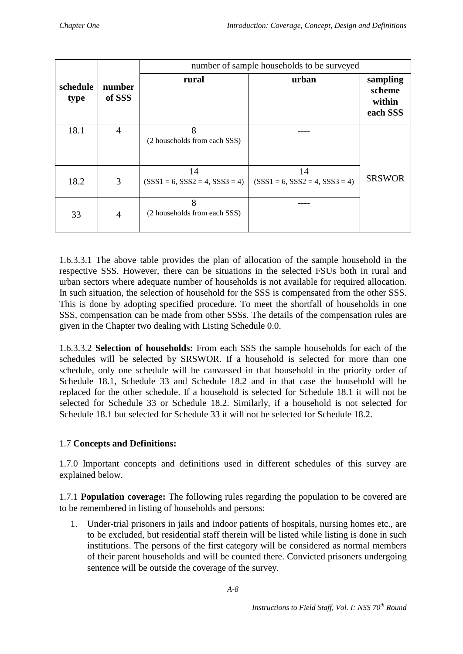|                  |                  | number of sample households to be surveyed |                                        |                                          |  |
|------------------|------------------|--------------------------------------------|----------------------------------------|------------------------------------------|--|
| schedule<br>type | number<br>of SSS | rural                                      | urban                                  | sampling<br>scheme<br>within<br>each SSS |  |
| 18.1             | $\overline{4}$   | 8<br>(2 households from each SSS)          |                                        |                                          |  |
| 18.2             | 3                | 14<br>$(SSS1 = 6, SSS2 = 4, SSS3 = 4)$     | 14<br>$(SSS1 = 6, SSS2 = 4, SSS3 = 4)$ | <b>SRSWOR</b>                            |  |
| 33               | $\overline{4}$   | 8<br>(2 households from each SSS)          |                                        |                                          |  |

1.6.3.3.1 The above table provides the plan of allocation of the sample household in the respective SSS. However, there can be situations in the selected FSUs both in rural and urban sectors where adequate number of households is not available for required allocation. In such situation, the selection of household for the SSS is compensated from the other SSS. This is done by adopting specified procedure. To meet the shortfall of households in one SSS, compensation can be made from other SSSs. The details of the compensation rules are given in the Chapter two dealing with Listing Schedule 0.0.

1.6.3.3.2 **Selection of households:** From each SSS the sample households for each of the schedules will be selected by SRSWOR. If a household is selected for more than one schedule, only one schedule will be canvassed in that household in the priority order of Schedule 18.1, Schedule 33 and Schedule 18.2 and in that case the household will be replaced for the other schedule. If a household is selected for Schedule 18.1 it will not be selected for Schedule 33 or Schedule 18.2. Similarly, if a household is not selected for Schedule 18.1 but selected for Schedule 33 it will not be selected for Schedule 18.2.

# 1.7 **Concepts and Definitions:**

1.7.0 Important concepts and definitions used in different schedules of this survey are explained below.

1.7.1 **Population coverage:** The following rules regarding the population to be covered are to be remembered in listing of households and persons:

1. Under-trial prisoners in jails and indoor patients of hospitals, nursing homes etc., are to be excluded, but residential staff therein will be listed while listing is done in such institutions. The persons of the first category will be considered as normal members of their parent households and will be counted there. Convicted prisoners undergoing sentence will be outside the coverage of the survey.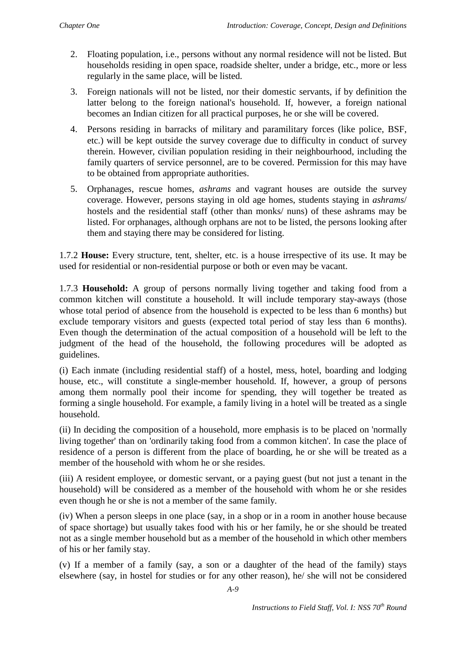- 2. Floating population, i.e., persons without any normal residence will not be listed. But households residing in open space, roadside shelter, under a bridge, etc., more or less regularly in the same place, will be listed.
- 3. Foreign nationals will not be listed, nor their domestic servants, if by definition the latter belong to the foreign national's household. If, however, a foreign national becomes an Indian citizen for all practical purposes, he or she will be covered.
- 4. Persons residing in barracks of military and paramilitary forces (like police, BSF, etc.) will be kept outside the survey coverage due to difficulty in conduct of survey therein. However, civilian population residing in their neighbourhood, including the family quarters of service personnel, are to be covered. Permission for this may have to be obtained from appropriate authorities.
- 5. Orphanages, rescue homes, *ashrams* and vagrant houses are outside the survey coverage. However, persons staying in old age homes, students staying in *ashrams*/ hostels and the residential staff (other than monks/ nuns) of these ashrams may be listed. For orphanages, although orphans are not to be listed, the persons looking after them and staying there may be considered for listing.

1.7.2 **House:** Every structure, tent, shelter, etc. is a house irrespective of its use. It may be used for residential or non-residential purpose or both or even may be vacant.

1.7.3 **Household:** A group of persons normally living together and taking food from a common kitchen will constitute a household. It will include temporary stay-aways (those whose total period of absence from the household is expected to be less than 6 months) but exclude temporary visitors and guests (expected total period of stay less than 6 months). Even though the determination of the actual composition of a household will be left to the judgment of the head of the household, the following procedures will be adopted as guidelines.

(i) Each inmate (including residential staff) of a hostel, mess, hotel, boarding and lodging house, etc., will constitute a single-member household. If, however, a group of persons among them normally pool their income for spending, they will together be treated as forming a single household. For example, a family living in a hotel will be treated as a single household.

(ii) In deciding the composition of a household, more emphasis is to be placed on 'normally living together' than on 'ordinarily taking food from a common kitchen'. In case the place of residence of a person is different from the place of boarding, he or she will be treated as a member of the household with whom he or she resides.

(iii) A resident employee, or domestic servant, or a paying guest (but not just a tenant in the household) will be considered as a member of the household with whom he or she resides even though he or she is not a member of the same family.

(iv) When a person sleeps in one place (say, in a shop or in a room in another house because of space shortage) but usually takes food with his or her family, he or she should be treated not as a single member household but as a member of the household in which other members of his or her family stay.

(v) If a member of a family (say, a son or a daughter of the head of the family) stays elsewhere (say, in hostel for studies or for any other reason), he/ she will not be considered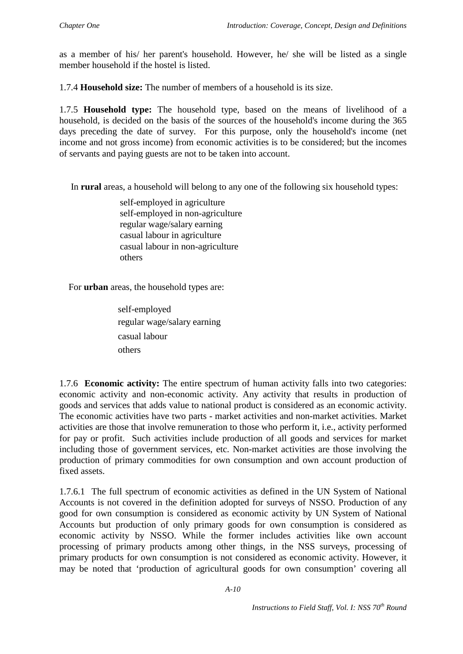as a member of his/ her parent's household. However, he/ she will be listed as a single member household if the hostel is listed.

1.7.4 **Household size:** The number of members of a household is its size.

1.7.5 **Household type:** The household type, based on the means of livelihood of a household, is decided on the basis of the sources of the household's income during the 365 days preceding the date of survey. For this purpose, only the household's income (net income and not gross income) from economic activities is to be considered; but the incomes of servants and paying guests are not to be taken into account.

In **rural** areas, a household will belong to any one of the following six household types:

self-employed in agriculture self-employed in non-agriculture regular wage/salary earning casual labour in agriculture casual labour in non-agriculture others

For **urban** areas, the household types are:

self-employed regular wage/salary earning casual labour others

1.7.6 **Economic activity:** The entire spectrum of human activity falls into two categories: economic activity and non-economic activity. Any activity that results in production of goods and services that adds value to national product is considered as an economic activity. The economic activities have two parts - market activities and non-market activities. Market activities are those that involve remuneration to those who perform it, i.e., activity performed for pay or profit. Such activities include production of all goods and services for market including those of government services, etc. Non-market activities are those involving the production of primary commodities for own consumption and own account production of fixed assets.

1.7.6.1 The full spectrum of economic activities as defined in the UN System of National Accounts is not covered in the definition adopted for surveys of NSSO. Production of any good for own consumption is considered as economic activity by UN System of National Accounts but production of only primary goods for own consumption is considered as economic activity by NSSO. While the former includes activities like own account processing of primary products among other things, in the NSS surveys, processing of primary products for own consumption is not considered as economic activity. However, it may be noted that 'production of agricultural goods for own consumption' covering all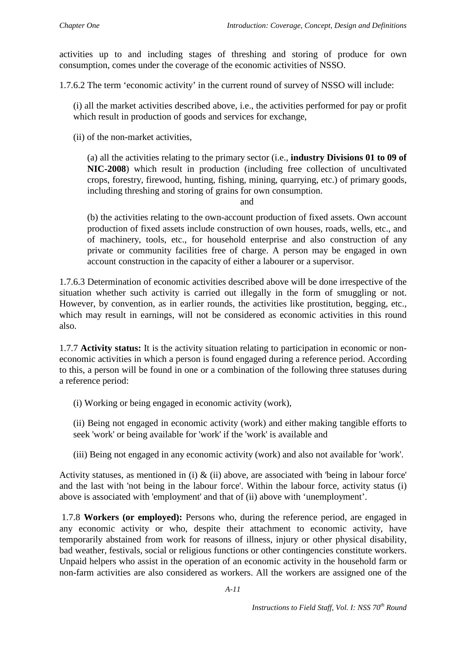activities up to and including stages of threshing and storing of produce for own consumption, comes under the coverage of the economic activities of NSSO.

1.7.6.2 The term 'economic activity' in the current round of survey of NSSO will include:

(i) all the market activities described above, i.e., the activities performed for pay or profit which result in production of goods and services for exchange,

(ii) of the non-market activities,

(a) all the activities relating to the primary sector (i.e., **industry Divisions 01 to 09 of NIC-2008**) which result in production (including free collection of uncultivated crops, forestry, firewood, hunting, fishing, mining, quarrying, etc.) of primary goods, including threshing and storing of grains for own consumption.

and

(b) the activities relating to the own-account production of fixed assets. Own account production of fixed assets include construction of own houses, roads, wells, etc., and of machinery, tools, etc., for household enterprise and also construction of any private or community facilities free of charge. A person may be engaged in own account construction in the capacity of either a labourer or a supervisor.

1.7.6.3 Determination of economic activities described above will be done irrespective of the situation whether such activity is carried out illegally in the form of smuggling or not. However, by convention, as in earlier rounds, the activities like prostitution, begging, etc., which may result in earnings, will not be considered as economic activities in this round also.

1.7.7 **Activity status:** It is the activity situation relating to participation in economic or noneconomic activities in which a person is found engaged during a reference period. According to this, a person will be found in one or a combination of the following three statuses during a reference period:

(i) Working or being engaged in economic activity (work),

(ii) Being not engaged in economic activity (work) and either making tangible efforts to seek 'work' or being available for 'work' if the 'work' is available and

(iii) Being not engaged in any economic activity (work) and also not available for 'work'.

Activity statuses, as mentioned in (i) & (ii) above, are associated with 'being in labour force' and the last with 'not being in the labour force'. Within the labour force, activity status (i) above is associated with 'employment' and that of (ii) above with 'unemployment'.

1.7.8 **Workers (or employed):** Persons who, during the reference period, are engaged in any economic activity or who, despite their attachment to economic activity, have temporarily abstained from work for reasons of illness, injury or other physical disability, bad weather, festivals, social or religious functions or other contingencies constitute workers. Unpaid helpers who assist in the operation of an economic activity in the household farm or non-farm activities are also considered as workers. All the workers are assigned one of the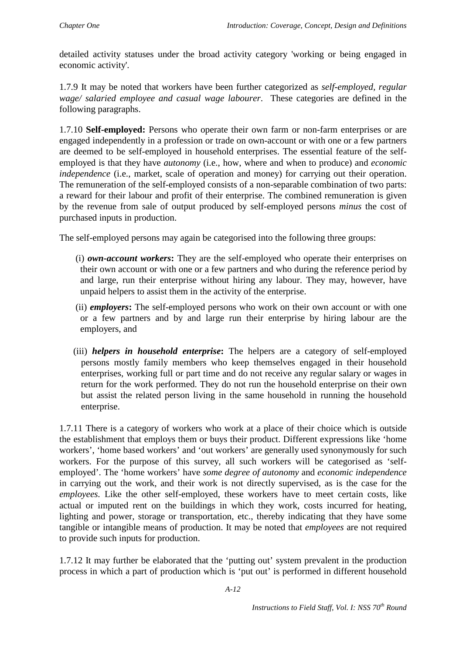detailed activity statuses under the broad activity category 'working or being engaged in economic activity'.

1.7.9 It may be noted that workers have been further categorized as *self-employed, regular wage/ salaried employee and casual wage labourer*.These categories are defined in the following paragraphs.

1.7.10 **Self-employed:** Persons who operate their own farm or non-farm enterprises or are engaged independently in a profession or trade on own-account or with one or a few partners are deemed to be self-employed in household enterprises. The essential feature of the selfemployed is that they have *autonomy* (i.e., how, where and when to produce) and *economic independence* (i.e., market, scale of operation and money) for carrying out their operation. The remuneration of the self-employed consists of a non-separable combination of two parts: a reward for their labour and profit of their enterprise. The combined remuneration is given by the revenue from sale of output produced by self-employed persons *minus* the cost of purchased inputs in production.

The self-employed persons may again be categorised into the following three groups:

- (i) *own-account workers***:** They are the self-employed who operate their enterprises on their own account or with one or a few partners and who during the reference period by and large, run their enterprise without hiring any labour. They may, however, have unpaid helpers to assist them in the activity of the enterprise.
- (ii) *employers***:** The self-employed persons who work on their own account or with one or a few partners and by and large run their enterprise by hiring labour are the employers, and
- (iii) *helpers in household enterprise***:** The helpers are a category of self-employed persons mostly family members who keep themselves engaged in their household enterprises, working full or part time and do not receive any regular salary or wages in return for the work performed. They do not run the household enterprise on their own but assist the related person living in the same household in running the household enterprise.

1.7.11 There is a category of workers who work at a place of their choice which is outside the establishment that employs them or buys their product. Different expressions like 'home workers', 'home based workers' and 'out workers' are generally used synonymously for such workers. For the purpose of this survey, all such workers will be categorised as 'selfemployed'. The 'home workers' have *some degree of autonomy* and *economic independence* in carrying out the work, and their work is not directly supervised, as is the case for the *employees.* Like the other self-employed, these workers have to meet certain costs, like actual or imputed rent on the buildings in which they work, costs incurred for heating, lighting and power, storage or transportation, etc., thereby indicating that they have some tangible or intangible means of production. It may be noted that *employees* are not required to provide such inputs for production.

1.7.12 It may further be elaborated that the 'putting out' system prevalent in the production process in which a part of production which is 'put out' is performed in different household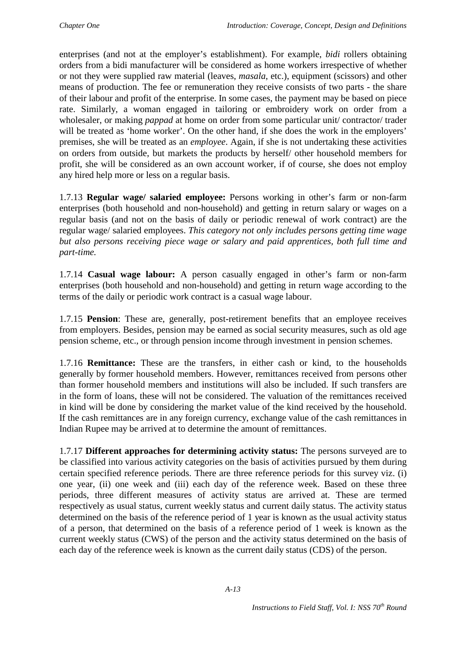enterprises (and not at the employer's establishment). For example, *bidi* rollers obtaining orders from a bidi manufacturer will be considered as home workers irrespective of whether or not they were supplied raw material (leaves, *masala*, etc.), equipment (scissors) and other means of production. The fee or remuneration they receive consists of two parts - the share of their labour and profit of the enterprise. In some cases, the payment may be based on piece rate. Similarly, a woman engaged in tailoring or embroidery work on order from a wholesaler, or making *pappad* at home on order from some particular unit/ contractor/ trader will be treated as 'home worker'. On the other hand, if she does the work in the employers' premises, she will be treated as an *employee*. Again, if she is not undertaking these activities on orders from outside, but markets the products by herself/ other household members for profit, she will be considered as an own account worker, if of course, she does not employ any hired help more or less on a regular basis.

1.7.13 **Regular wage/ salaried employee:** Persons working in other's farm or non-farm enterprises (both household and non-household) and getting in return salary or wages on a regular basis (and not on the basis of daily or periodic renewal of work contract) are the regular wage/ salaried employees. *This category not only includes persons getting time wage but also persons receiving piece wage or salary and paid apprentices, both full time and part-time.*

1.7.14 **Casual wage labour:** A person casually engaged in other's farm or non-farm enterprises (both household and non-household) and getting in return wage according to the terms of the daily or periodic work contract is a casual wage labour.

1.7.15 **Pension**: These are, generally, post-retirement benefits that an employee receives from employers. Besides, pension may be earned as social security measures, such as old age pension scheme, etc., or through pension income through investment in pension schemes.

1.7.16 **Remittance:** These are the transfers, in either cash or kind, to the households generally by former household members. However, remittances received from persons other than former household members and institutions will also be included. If such transfers are in the form of loans, these will not be considered. The valuation of the remittances received in kind will be done by considering the market value of the kind received by the household. If the cash remittances are in any foreign currency, exchange value of the cash remittances in Indian Rupee may be arrived at to determine the amount of remittances.

1.7.17 **Different approaches for determining activity status:** The persons surveyed are to be classified into various activity categories on the basis of activities pursued by them during certain specified reference periods. There are three reference periods for this survey viz. (i) one year, (ii) one week and (iii) each day of the reference week. Based on these three periods, three different measures of activity status are arrived at. These are termed respectively as usual status, current weekly status and current daily status. The activity status determined on the basis of the reference period of 1 year is known as the usual activity status of a person, that determined on the basis of a reference period of 1 week is known as the current weekly status (CWS) of the person and the activity status determined on the basis of each day of the reference week is known as the current daily status (CDS) of the person.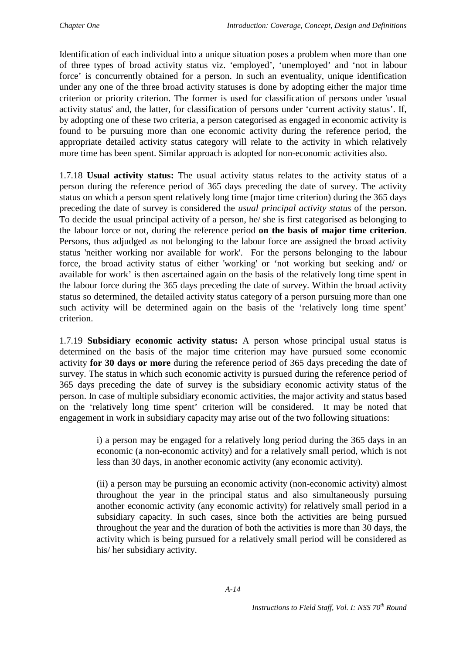Identification of each individual into a unique situation poses a problem when more than one of three types of broad activity status viz. 'employed', 'unemployed' and 'not in labour force' is concurrently obtained for a person. In such an eventuality, unique identification under any one of the three broad activity statuses is done by adopting either the major time criterion or priority criterion. The former is used for classification of persons under 'usual activity status' and, the latter, for classification of persons under 'current activity status'. If, by adopting one of these two criteria, a person categorised as engaged in economic activity is found to be pursuing more than one economic activity during the reference period, the appropriate detailed activity status category will relate to the activity in which relatively more time has been spent. Similar approach is adopted for non-economic activities also.

1.7.18 **Usual activity status:** The usual activity status relates to the activity status of a person during the reference period of 365 days preceding the date of survey. The activity status on which a person spent relatively long time (major time criterion) during the 365 days preceding the date of survey is considered the *usual principal activity status* of the person. To decide the usual principal activity of a person, he/ she is first categorised as belonging to the labour force or not, during the reference period **on the basis of major time criterion**. Persons, thus adjudged as not belonging to the labour force are assigned the broad activity status 'neither working nor available for work'. For the persons belonging to the labour force, the broad activity status of either 'working' or 'not working but seeking and/ or available for work' is then ascertained again on the basis of the relatively long time spent in the labour force during the 365 days preceding the date of survey. Within the broad activity status so determined, the detailed activity status category of a person pursuing more than one such activity will be determined again on the basis of the 'relatively long time spent' criterion.

1.7.19 **Subsidiary economic activity status:** A person whose principal usual status is determined on the basis of the major time criterion may have pursued some economic activity **for 30 days or more** during the reference period of 365 days preceding the date of survey. The status in which such economic activity is pursued during the reference period of 365 days preceding the date of survey is the subsidiary economic activity status of the person. In case of multiple subsidiary economic activities, the major activity and status based on the 'relatively long time spent' criterion will be considered. It may be noted that engagement in work in subsidiary capacity may arise out of the two following situations:

> i) a person may be engaged for a relatively long period during the 365 days in an economic (a non-economic activity) and for a relatively small period, which is not less than 30 days, in another economic activity (any economic activity).

> (ii) a person may be pursuing an economic activity (non-economic activity) almost throughout the year in the principal status and also simultaneously pursuing another economic activity (any economic activity) for relatively small period in a subsidiary capacity. In such cases, since both the activities are being pursued throughout the year and the duration of both the activities is more than 30 days, the activity which is being pursued for a relatively small period will be considered as his/ her subsidiary activity.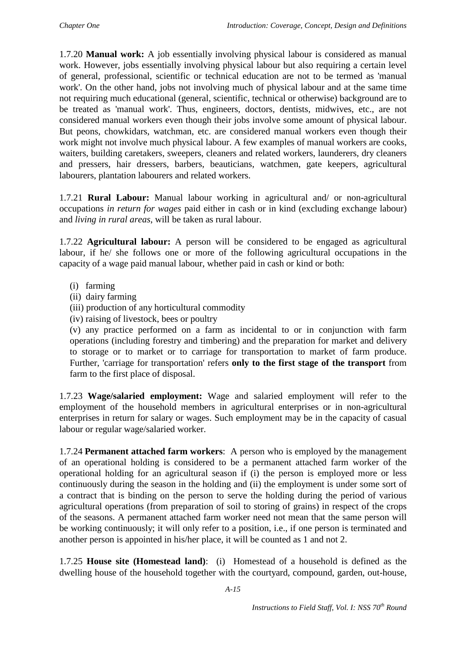1.7.20 **Manual work:** A job essentially involving physical labour is considered as manual work. However, jobs essentially involving physical labour but also requiring a certain level of general, professional, scientific or technical education are not to be termed as 'manual work'. On the other hand, jobs not involving much of physical labour and at the same time not requiring much educational (general, scientific, technical or otherwise) background are to be treated as 'manual work'. Thus, engineers, doctors, dentists, midwives, etc., are not considered manual workers even though their jobs involve some amount of physical labour. But peons, chowkidars, watchman, etc. are considered manual workers even though their work might not involve much physical labour. A few examples of manual workers are cooks, waiters, building caretakers, sweepers, cleaners and related workers, launderers, dry cleaners and pressers, hair dressers, barbers, beauticians, watchmen, gate keepers, agricultural labourers, plantation labourers and related workers.

1.7.21 **Rural Labour:** Manual labour working in agricultural and/ or non-agricultural occupations *in return for wages* paid either in cash or in kind (excluding exchange labour) and *living in rural areas*, will be taken as rural labour.

1.7.22 **Agricultural labour:** A person will be considered to be engaged as agricultural labour, if he/ she follows one or more of the following agricultural occupations in the capacity of a wage paid manual labour, whether paid in cash or kind or both:

- (i) farming
- (ii) dairy farming
- (iii) production of any horticultural commodity
- (iv) raising of livestock, bees or poultry

(v) any practice performed on a farm as incidental to or in conjunction with farm operations (including forestry and timbering) and the preparation for market and delivery to storage or to market or to carriage for transportation to market of farm produce. Further, 'carriage for transportation' refers **only to the first stage of the transport** from farm to the first place of disposal.

1.7.23 **Wage/salaried employment:** Wage and salaried employment will refer to the employment of the household members in agricultural enterprises or in non-agricultural enterprises in return for salary or wages. Such employment may be in the capacity of casual labour or regular wage/salaried worker.

1.7.24 **Permanent attached farm workers**: A person who is employed by the management of an operational holding is considered to be a permanent attached farm worker of the operational holding for an agricultural season if (i) the person is employed more or less continuously during the season in the holding and (ii) the employment is under some sort of a contract that is binding on the person to serve the holding during the period of various agricultural operations (from preparation of soil to storing of grains) in respect of the crops of the seasons. A permanent attached farm worker need not mean that the same person will be working continuously; it will only refer to a position, i.e., if one person is terminated and another person is appointed in his/her place, it will be counted as 1 and not 2.

1.7.25 **House site (Homestead land)**: (i) Homestead of a household is defined as the dwelling house of the household together with the courtyard, compound, garden, out-house,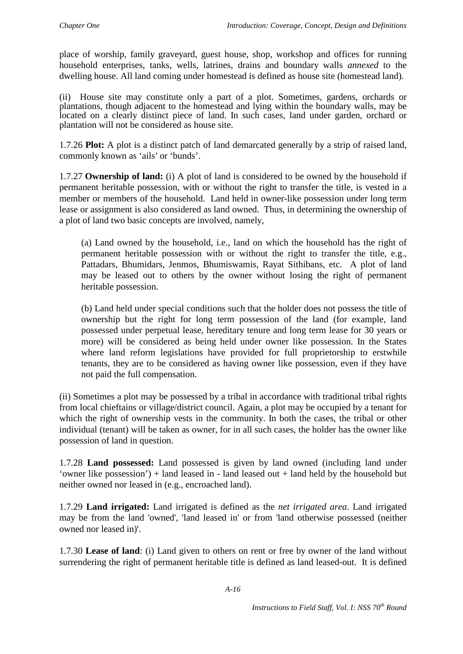place of worship, family graveyard, guest house, shop, workshop and offices for running household enterprises, tanks, wells, latrines, drains and boundary walls *annexed* to the dwelling house. All land coming under homestead is defined as house site (homestead land).

(ii) House site may constitute only a part of a plot. Sometimes, gardens, orchards or plantations, though adjacent to the homestead and lying within the boundary walls, may be located on a clearly distinct piece of land. In such cases, land under garden, orchard or plantation will not be considered as house site.

1.7.26 **Plot:** A plot is a distinct patch of land demarcated generally by a strip of raised land, commonly known as 'ails' or 'bunds'.

1.7.27 **Ownership of land:** (i) A plot of land is considered to be owned by the household if permanent heritable possession, with or without the right to transfer the title, is vested in a member or members of the household. Land held in owner-like possession under long term lease or assignment is also considered as land owned. Thus, in determining the ownership of a plot of land two basic concepts are involved, namely,

(a) Land owned by the household, i.e., land on which the household has the right of permanent heritable possession with or without the right to transfer the title, e.g., Pattadars, Bhumidars, Jenmos, Bhumiswamis, Rayat Sithibans, etc. A plot of land may be leased out to others by the owner without losing the right of permanent heritable possession.

(b) Land held under special conditions such that the holder does not possess the title of ownership but the right for long term possession of the land (for example, land possessed under perpetual lease, hereditary tenure and long term lease for 30 years or more) will be considered as being held under owner like possession. In the States where land reform legislations have provided for full proprietorship to erstwhile tenants, they are to be considered as having owner like possession, even if they have not paid the full compensation.

(ii) Sometimes a plot may be possessed by a tribal in accordance with traditional tribal rights from local chieftains or village/district council. Again, a plot may be occupied by a tenant for which the right of ownership vests in the community. In both the cases, the tribal or other individual (tenant) will be taken as owner, for in all such cases, the holder has the owner like possession of land in question.

1.7.28 **Land possessed:** Land possessed is given by land owned (including land under 'owner like possession') + land leased in - land leased out + land held by the household but neither owned nor leased in (e.g., encroached land).

1.7.29 **Land irrigated:** Land irrigated is defined as the *net irrigated area*. Land irrigated may be from the land 'owned', 'land leased in' or from 'land otherwise possessed (neither owned nor leased in)'.

1.7.30 **Lease of land**: (i) Land given to others on rent or free by owner of the land without surrendering the right of permanent heritable title is defined as land leased-out. It is defined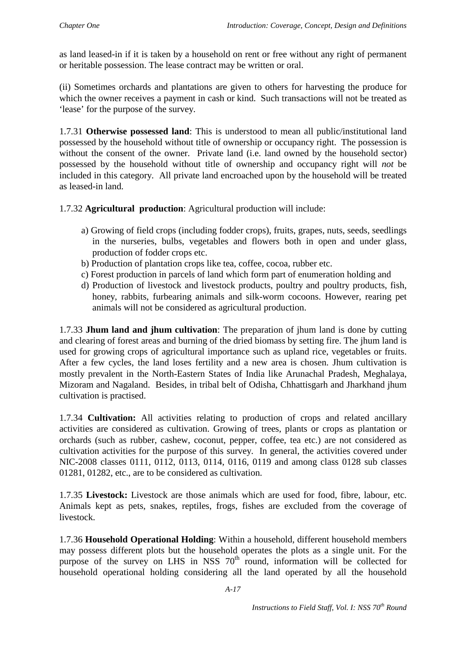as land leased-in if it is taken by a household on rent or free without any right of permanent or heritable possession. The lease contract may be written or oral.

(ii) Sometimes orchards and plantations are given to others for harvesting the produce for which the owner receives a payment in cash or kind. Such transactions will not be treated as 'lease' for the purpose of the survey.

1.7.31 **Otherwise possessed land**: This is understood to mean all public/institutional land possessed by the household without title of ownership or occupancy right. The possession is without the consent of the owner. Private land (i.e. land owned by the household sector) possessed by the household without title of ownership and occupancy right will *not* be included in this category. All private land encroached upon by the household will be treated as leased-in land.

1.7.32 **Agricultural production**: Agricultural production will include:

- a) Growing of field crops (including fodder crops), fruits, grapes, nuts, seeds, seedlings in the nurseries, bulbs, vegetables and flowers both in open and under glass, production of fodder crops etc.
- b) Production of plantation crops like tea, coffee, cocoa, rubber etc.
- c) Forest production in parcels of land which form part of enumeration holding and
- d) Production of livestock and livestock products, poultry and poultry products, fish, honey, rabbits, furbearing animals and silk-worm cocoons. However, rearing pet animals will not be considered as agricultural production.

1.7.33 **Jhum land and jhum cultivation**: The preparation of jhum land is done by cutting and clearing of forest areas and burning of the dried biomass by setting fire. The jhum land is used for growing crops of [agricultural](http://en.wikipedia.org/wiki/Agriculture) importance such as [upland rice,](http://en.wikipedia.org/wiki/Upland_rice) vegetables or fruits. After a few cycles, the land loses fertility and a new area is chosen. Jhum cultivation is mostly prevalent in the [North-Eastern States](http://en.wikipedia.org/wiki/North_East_India) of [India](http://en.wikipedia.org/wiki/India) like [Arunachal Pradesh,](http://en.wikipedia.org/wiki/Arunachal_Pradesh) [Meghalaya,](http://en.wikipedia.org/wiki/Meghalaya) [Mizoram](http://en.wikipedia.org/wiki/Mizoram) and [Nagaland.](http://en.wikipedia.org/wiki/Nagaland) Besides, in tribal belt of Odisha, Chhattisgarh and Jharkhand jhum cultivation is practised.

1.7.34 **Cultivation:** All activities relating to production of crops and related ancillary activities are considered as cultivation. Growing of trees, plants or crops as plantation or orchards (such as rubber, cashew, coconut, pepper, coffee, tea etc.) are not considered as cultivation activities for the purpose of this survey. In general, the activities covered under NIC-2008 classes 0111, 0112, 0113, 0114, 0116, 0119 and among class 0128 sub classes 01281, 01282, etc., are to be considered as cultivation.

1.7.35 **Livestock:** Livestock are those animals which are used for food, fibre, labour, etc. Animals kept as pets, snakes, reptiles, frogs, fishes are excluded from the coverage of livestock.

1.7.36 **Household Operational Holding**: Within a household, different household members may possess different plots but the household operates the plots as a single unit. For the purpose of the survey on LHS in NSS  $70<sup>th</sup>$  round, information will be collected for household operational holding considering all the land operated by all the household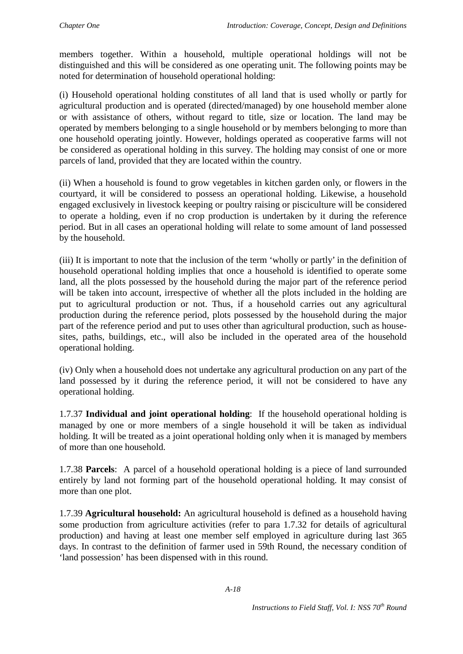members together. Within a household, multiple operational holdings will not be distinguished and this will be considered as one operating unit. The following points may be noted for determination of household operational holding:

(i) Household operational holding constitutes of all land that is used wholly or partly for agricultural production and is operated (directed/managed) by one household member alone or with assistance of others, without regard to title, size or location. The land may be operated by members belonging to a single household or by members belonging to more than one household operating jointly. However, holdings operated as cooperative farms will not be considered as operational holding in this survey. The holding may consist of one or more parcels of land, provided that they are located within the country.

(ii) When a household is found to grow vegetables in kitchen garden only, or flowers in the courtyard, it will be considered to possess an operational holding. Likewise, a household engaged exclusively in livestock keeping or poultry raising or pisciculture will be considered to operate a holding, even if no crop production is undertaken by it during the reference period. But in all cases an operational holding will relate to some amount of land possessed by the household.

(iii) It is important to note that the inclusion of the term 'wholly or partly' in the definition of household operational holding implies that once a household is identified to operate some land, all the plots possessed by the household during the major part of the reference period will be taken into account, irrespective of whether all the plots included in the holding are put to agricultural production or not. Thus, if a household carries out any agricultural production during the reference period, plots possessed by the household during the major part of the reference period and put to uses other than agricultural production, such as housesites, paths, buildings, etc., will also be included in the operated area of the household operational holding.

(iv) Only when a household does not undertake any agricultural production on any part of the land possessed by it during the reference period, it will not be considered to have any operational holding.

1.7.37 **Individual and joint operational holding**: If the household operational holding is managed by one or more members of a single household it will be taken as individual holding. It will be treated as a joint operational holding only when it is managed by members of more than one household.

1.7.38 **Parcels**: A parcel of a household operational holding is a piece of land surrounded entirely by land not forming part of the household operational holding. It may consist of more than one plot.

1.7.39 **Agricultural household:** An agricultural household is defined as a household having some production from agriculture activities (refer to para 1.7.32 for details of agricultural production) and having at least one member self employed in agriculture during last 365 days. In contrast to the definition of farmer used in 59th Round, the necessary condition of 'land possession' has been dispensed with in this round.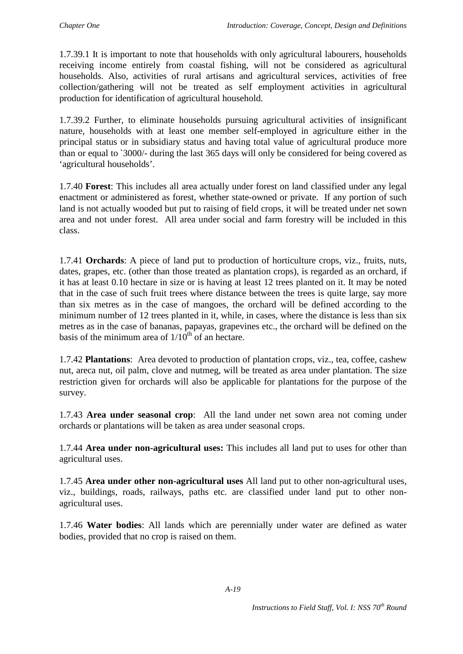1.7.39.1 It is important to note that households with only agricultural labourers, households receiving income entirely from coastal fishing, will not be considered as agricultural households. Also, activities of rural artisans and agricultural services, activities of free collection/gathering will not be treated as self employment activities in agricultural production for identification of agricultural household.

1.7.39.2 Further, to eliminate households pursuing agricultural activities of insignificant nature, households with at least one member self-employed in agriculture either in the principal status or in subsidiary status and having total value of agricultural produce more than or equal to `3000/- during the last 365 days will only be considered for being covered as 'agricultural households'.

1.7.40 **Forest**: This includes all area actually under forest on land classified under any legal enactment or administered as forest, whether state-owned or private. If any portion of such land is not actually wooded but put to raising of field crops, it will be treated under net sown area and not under forest. All area under social and farm forestry will be included in this class.

1.7.41 **Orchards**: A piece of land put to production of horticulture crops, viz., fruits, nuts, dates, grapes, etc. (other than those treated as plantation crops), is regarded as an orchard, if it has at least 0.10 hectare in size or is having at least 12 trees planted on it. It may be noted that in the case of such fruit trees where distance between the trees is quite large, say more than six metres as in the case of mangoes, the orchard will be defined according to the minimum number of 12 trees planted in it, while, in cases, where the distance is less than six metres as in the case of bananas, papayas, grapevines etc., the orchard will be defined on the basis of the minimum area of  $1/10^{th}$  of an hectare.

1.7.42 **Plantations**: Area devoted to production of plantation crops, viz., tea, coffee, cashew nut, areca nut, oil palm, clove and nutmeg, will be treated as area under plantation. The size restriction given for orchards will also be applicable for plantations for the purpose of the survey.

1.7.43 **Area under seasonal crop**: All the land under net sown area not coming under orchards or plantations will be taken as area under seasonal crops.

1.7.44 **Area under non-agricultural uses:** This includes all land put to uses for other than agricultural uses.

1.7.45 **Area under other non-agricultural uses** All land put to other non-agricultural uses, viz., buildings, roads, railways, paths etc. are classified under land put to other nonagricultural uses.

1.7.46 **Water bodies**: All lands which are perennially under water are defined as water bodies, provided that no crop is raised on them.

*A-19*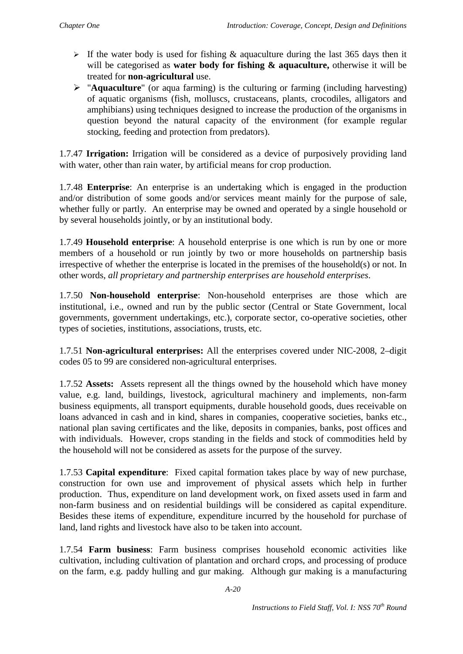- $\triangleright$  If the water body is used for fishing & aquaculture during the last 365 days then it will be categorised as **water body for fishing & aquaculture,** otherwise it will be treated for **non-agricultural** use.
- "**Aquaculture**" (or aqua farming) is the culturing or farming (including harvesting) of aquatic organisms (fish, molluscs, crustaceans, plants, crocodiles, alligators and amphibians) using techniques designed to increase the production of the organisms in question beyond the natural capacity of the environment (for example regular stocking, feeding and protection from predators).

1.7.47 **Irrigation:** Irrigation will be considered as a device of purposively providing land with water, other than rain water, by artificial means for crop production.

1.7.48 **Enterprise**: An enterprise is an undertaking which is engaged in the production and/or distribution of some goods and/or services meant mainly for the purpose of sale, whether fully or partly. An enterprise may be owned and operated by a single household or by several households jointly, or by an institutional body.

1.7.49 **Household enterprise**: A household enterprise is one which is run by one or more members of a household or run jointly by two or more households on partnership basis irrespective of whether the enterprise is located in the premises of the household(s) or not. In other words, *all proprietary and partnership enterprises are household enterprises*.

1.7.50 **Non-household enterprise**: Non-household enterprises are those which are institutional, i.e., owned and run by the public sector (Central or State Government, local governments, government undertakings, etc.), corporate sector, co-operative societies, other types of societies, institutions, associations, trusts, etc.

1.7.51 **Non-agricultural enterprises:** All the enterprises covered under NIC-2008, 2–digit codes 05 to 99 are considered non-agricultural enterprises.

1.7.52 **Assets:** Assets represent all the things owned by the household which have money value, e.g. land, buildings, livestock, agricultural machinery and implements, non-farm business equipments, all transport equipments, durable household goods, dues receivable on loans advanced in cash and in kind, shares in companies, cooperative societies, banks etc., national plan saving certificates and the like, deposits in companies, banks, post offices and with individuals. However, crops standing in the fields and stock of commodities held by the household will not be considered as assets for the purpose of the survey.

1.7.53 **Capital expenditure**: Fixed capital formation takes place by way of new purchase, construction for own use and improvement of physical assets which help in further production. Thus, expenditure on land development work, on fixed assets used in farm and non-farm business and on residential buildings will be considered as capital expenditure. Besides these items of expenditure, expenditure incurred by the household for purchase of land, land rights and livestock have also to be taken into account.

1.7.54 **Farm business**: Farm business comprises household economic activities like cultivation, including cultivation of plantation and orchard crops, and processing of produce on the farm, e.g. paddy hulling and gur making. Although gur making is a manufacturing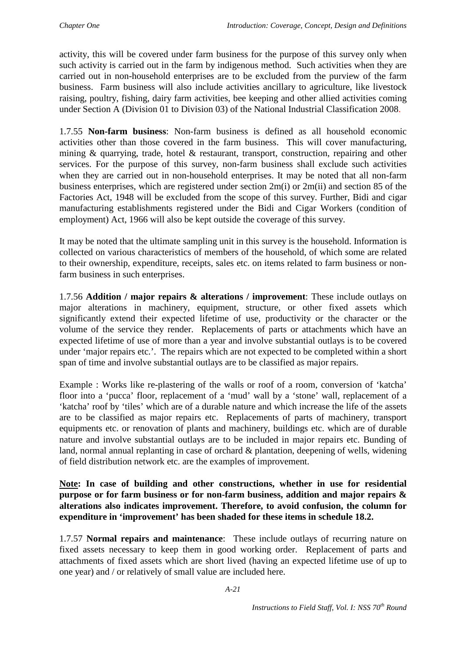activity, this will be covered under farm business for the purpose of this survey only when such activity is carried out in the farm by indigenous method. Such activities when they are carried out in non-household enterprises are to be excluded from the purview of the farm business. Farm business will also include activities ancillary to agriculture, like livestock raising, poultry, fishing, dairy farm activities, bee keeping and other allied activities coming under Section A (Division 01 to Division 03) of the National Industrial Classification 2008.

1.7.55 **Non-farm business**: Non-farm business is defined as all household economic activities other than those covered in the farm business. This will cover manufacturing, mining & quarrying, trade, hotel & restaurant, transport, construction, repairing and other services. For the purpose of this survey, non-farm business shall exclude such activities when they are carried out in non-household enterprises. It may be noted that all non-farm business enterprises, which are registered under section 2m(i) or 2m(ii) and section 85 of the Factories Act, 1948 will be excluded from the scope of this survey. Further, Bidi and cigar manufacturing establishments registered under the Bidi and Cigar Workers (condition of employment) Act, 1966 will also be kept outside the coverage of this survey.

It may be noted that the ultimate sampling unit in this survey is the household. Information is collected on various characteristics of members of the household, of which some are related to their ownership, expenditure, receipts, sales etc. on items related to farm business or nonfarm business in such enterprises.

1.7.56 **Addition / major repairs & alterations / improvement**: These include outlays on major alterations in machinery, equipment, structure, or other fixed assets which significantly extend their expected lifetime of use, productivity or the character or the volume of the service they render. Replacements of parts or attachments which have an expected lifetime of use of more than a year and involve substantial outlays is to be covered under 'major repairs etc.'. The repairs which are not expected to be completed within a short span of time and involve substantial outlays are to be classified as major repairs.

Example : Works like re-plastering of the walls or roof of a room, conversion of 'katcha' floor into a 'pucca' floor, replacement of a 'mud' wall by a 'stone' wall, replacement of a 'katcha' roof by 'tiles' which are of a durable nature and which increase the life of the assets are to be classified as major repairs etc. Replacements of parts of machinery, transport equipments etc. or renovation of plants and machinery, buildings etc. which are of durable nature and involve substantial outlays are to be included in major repairs etc. Bunding of land, normal annual replanting in case of orchard & plantation, deepening of wells, widening of field distribution network etc. are the examples of improvement.

**Note: In case of building and other constructions, whether in use for residential purpose or for farm business or for non-farm business, addition and major repairs & alterations also indicates improvement. Therefore, to avoid confusion, the column for expenditure in 'improvement' has been shaded for these items in schedule 18.2.**

1.7.57 **Normal repairs and maintenance**: These include outlays of recurring nature on fixed assets necessary to keep them in good working order. Replacement of parts and attachments of fixed assets which are short lived (having an expected lifetime use of up to one year) and / or relatively of small value are included here.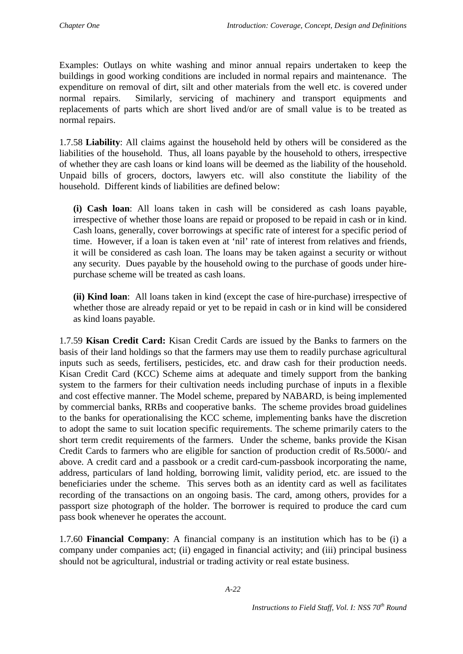Examples: Outlays on white washing and minor annual repairs undertaken to keep the buildings in good working conditions are included in normal repairs and maintenance. The expenditure on removal of dirt, silt and other materials from the well etc. is covered under normal repairs. Similarly, servicing of machinery and transport equipments and replacements of parts which are short lived and/or are of small value is to be treated as normal repairs.

1.7.58 **Liability**: All claims against the household held by others will be considered as the liabilities of the household. Thus, all loans payable by the household to others, irrespective of whether they are cash loans or kind loans will be deemed as the liability of the household. Unpaid bills of grocers, doctors, lawyers etc. will also constitute the liability of the household. Different kinds of liabilities are defined below:

**(i) Cash loan**: All loans taken in cash will be considered as cash loans payable, irrespective of whether those loans are repaid or proposed to be repaid in cash or in kind. Cash loans, generally, cover borrowings at specific rate of interest for a specific period of time. However, if a loan is taken even at 'nil' rate of interest from relatives and friends, it will be considered as cash loan. The loans may be taken against a security or without any security. Dues payable by the household owing to the purchase of goods under hirepurchase scheme will be treated as cash loans.

**(ii) Kind loan**: All loans taken in kind (except the case of hire-purchase) irrespective of whether those are already repaid or yet to be repaid in cash or in kind will be considered as kind loans payable.

1.7.59 **Kisan Credit Card:** Kisan Credit Cards are issued by the Banks to farmers on the basis of their land holdings so that the farmers may use them to readily purchase agricultural inputs such as seeds, fertilisers, pesticides, etc. and draw cash for their production needs. Kisan Credit Card (KCC) Scheme aims at adequate and timely support from the banking system to the farmers for their cultivation needs including purchase of inputs in a flexible and cost effective manner. The Model scheme, prepared by NABARD, is being implemented by commercial banks, RRBs and cooperative banks. The scheme provides broad guidelines to the banks for operationalising the KCC scheme, implementing banks have the discretion to adopt the same to suit location specific requirements. The scheme primarily caters to the short term credit requirements of the farmers. Under the scheme, banks provide the Kisan Credit Cards to farmers who are eligible for sanction of production credit of Rs.5000/- and above. A credit card and a passbook or a credit card-cum-passbook incorporating the name, address, particulars of land holding, borrowing limit, validity period, etc. are issued to the beneficiaries under the scheme. This serves both as an identity card as well as facilitates recording of the transactions on an ongoing basis. The card, among others, provides for a passport size photograph of the holder. The borrower is required to produce the card cum pass book whenever he operates the account.

1.7.60 **Financial Company**: A financial company is an institution which has to be (i) a company under companies act; (ii) engaged in financial activity; and (iii) principal business should not be agricultural, industrial or trading activity or real estate business.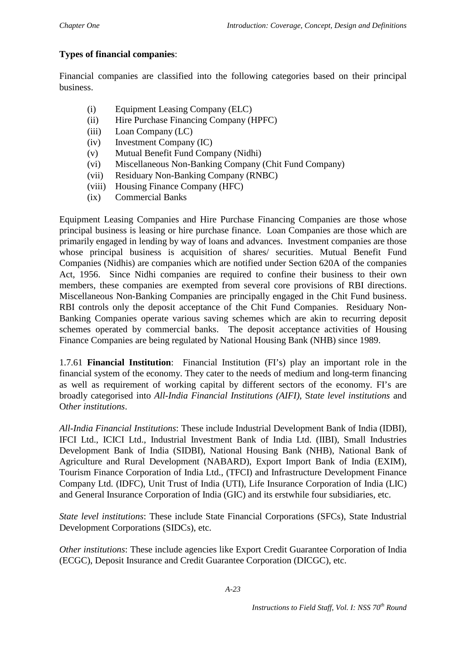# **Types of financial companies**:

Financial companies are classified into the following categories based on their principal business.

- (i) Equipment Leasing Company (ELC)
- (ii) Hire Purchase Financing Company (HPFC)
- (iii) Loan Company (LC)
- (iv) Investment Company (IC)
- (v) Mutual Benefit Fund Company (Nidhi)
- (vi) Miscellaneous Non-Banking Company (Chit Fund Company)
- (vii) Residuary Non-Banking Company (RNBC)
- (viii) Housing Finance Company (HFC)
- (ix) Commercial Banks

Equipment Leasing Companies and Hire Purchase Financing Companies are those whose principal business is leasing or hire purchase finance. Loan Companies are those which are primarily engaged in lending by way of loans and advances. Investment companies are those whose principal business is acquisition of shares/ securities. Mutual Benefit Fund Companies (Nidhis) are companies which are notified under Section 620A of the companies Act, 1956. Since Nidhi companies are required to confine their business to their own members, these companies are exempted from several core provisions of RBI directions. Miscellaneous Non-Banking Companies are principally engaged in the Chit Fund business. RBI controls only the deposit acceptance of the Chit Fund Companies. Residuary Non-Banking Companies operate various saving schemes which are akin to recurring deposit schemes operated by commercial banks. The deposit acceptance activities of Housing Finance Companies are being regulated by National Housing Bank (NHB) since 1989.

1.7.61 **Financial Institution**: Financial Institution (FI's) play an important role in the financial system of the economy. They cater to the needs of medium and long-term financing as well as requirement of working capital by different sectors of the economy. FI's are broadly categorised into *All-India Financial Institutions (AIFI)*, S*tate level institutions* and O*ther institutions*.

*All-India Financial Institutions*: These include Industrial Development Bank of India (IDBI), IFCI Ltd., ICICI Ltd., Industrial Investment Bank of India Ltd. (IIBI), Small Industries Development Bank of India (SIDBI), National Housing Bank (NHB), National Bank of Agriculture and Rural Development (NABARD), Export Import Bank of India (EXIM), Tourism Finance Corporation of India Ltd., (TFCI) and Infrastructure Development Finance Company Ltd. (IDFC), Unit Trust of India (UTI), Life Insurance Corporation of India (LIC) and General Insurance Corporation of India (GIC) and its erstwhile four subsidiaries, etc.

*State level institutions*: These include State Financial Corporations (SFCs), State Industrial Development Corporations (SIDCs), etc.

*Other institutions*: These include agencies like Export Credit Guarantee Corporation of India (ECGC), Deposit Insurance and Credit Guarantee Corporation (DICGC), etc.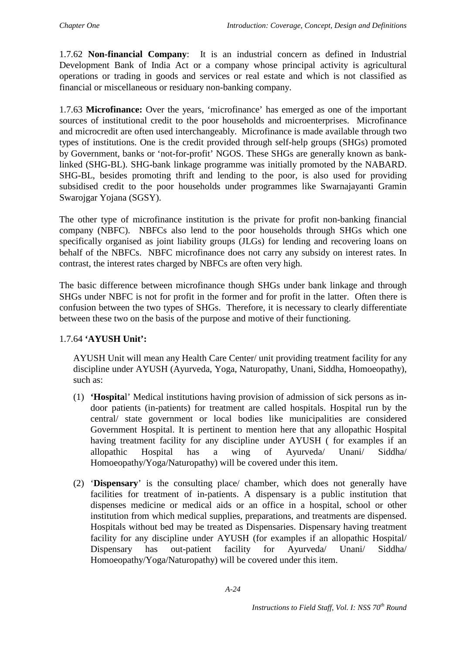1.7.62 **Non-financial Company**: It is an industrial concern as defined in Industrial Development Bank of India Act or a company whose principal activity is agricultural operations or trading in goods and services or real estate and which is not classified as financial or miscellaneous or residuary non-banking company.

1.7.63 **Microfinance:** Over the years, 'microfinance' has emerged as one of the important sources of institutional credit to the poor households and microenterprises. Microfinance and microcredit are often used interchangeably. Microfinance is made available through two types of institutions. One is the credit provided through self-help groups (SHGs) promoted by Government, banks or 'not-for-profit' NGOS. These SHGs are generally known as banklinked (SHG-BL). SHG-bank linkage programme was initially promoted by the NABARD. SHG-BL, besides promoting thrift and lending to the poor, is also used for providing subsidised credit to the poor households under programmes like Swarnajayanti Gramin Swarojgar Yojana (SGSY).

The other type of microfinance institution is the private for profit non-banking financial company (NBFC). NBFCs also lend to the poor households through SHGs which one specifically organised as joint liability groups (JLGs) for lending and recovering loans on behalf of the NBFCs. NBFC microfinance does not carry any subsidy on interest rates. In contrast, the interest rates charged by NBFCs are often very high.

The basic difference between microfinance though SHGs under bank linkage and through SHGs under NBFC is not for profit in the former and for profit in the latter. Often there is confusion between the two types of SHGs. Therefore, it is necessary to clearly differentiate between these two on the basis of the purpose and motive of their functioning.

#### 1.7.64 **'AYUSH Unit':**

AYUSH Unit will mean any Health Care Center/ unit providing treatment facility for any discipline under AYUSH (Ayurveda, Yoga, Naturopathy, Unani, Siddha, Homoeopathy), such as:

- (1) **'Hospita**l' Medical institutions having provision of admission of sick persons as indoor patients (in-patients) for treatment are called hospitals. Hospital run by the central/ state government or local bodies like municipalities are considered Government Hospital. It is pertinent to mention here that any allopathic Hospital having treatment facility for any discipline under AYUSH ( for examples if an allopathic Hospital has a wing of Ayurveda/ Unani/ Siddha/ Homoeopathy/Yoga/Naturopathy) will be covered under this item.
- (2) '**Dispensary**' is the consulting place/ chamber, which does not generally have facilities for treatment of in-patients. A dispensary is a public institution that dispenses medicine or medical aids or an office in a hospital, school or other institution from which medical supplies, preparations, and treatments are dispensed. Hospitals without bed may be treated as Dispensaries. Dispensary having treatment facility for any discipline under AYUSH (for examples if an allopathic Hospital/ Dispensary has out-patient facility for Ayurveda/ Unani/ Siddha/ Homoeopathy/Yoga/Naturopathy) will be covered under this item.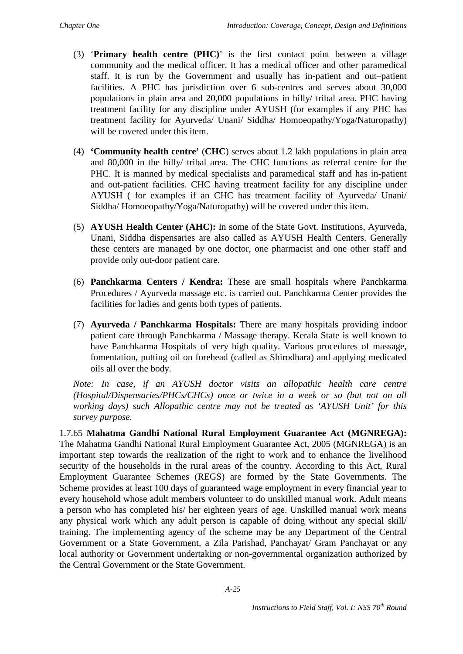- (3) '**Primary health centre (PHC)**' is the first contact point between a village community and the medical officer. It has a medical officer and other paramedical staff. It is run by the Government and usually has in-patient and out–patient facilities. A PHC has jurisdiction over 6 sub-centres and serves about 30,000 populations in plain area and 20,000 populations in hilly/ tribal area. PHC having treatment facility for any discipline under AYUSH (for examples if any PHC has treatment facility for Ayurveda/ Unani/ Siddha/ Homoeopathy/Yoga/Naturopathy) will be covered under this item.
- (4) **'Community health centre'** (**CHC**) serves about 1.2 lakh populations in plain area and 80,000 in the hilly/ tribal area. The CHC functions as referral centre for the PHC. It is manned by medical specialists and paramedical staff and has in-patient and out-patient facilities. CHC having treatment facility for any discipline under AYUSH ( for examples if an CHC has treatment facility of Ayurveda/ Unani/ Siddha/ Homoeopathy/Yoga/Naturopathy) will be covered under this item.
- (5) **AYUSH Health Center (AHC):** In some of the State Govt. Institutions, Ayurveda, Unani, Siddha dispensaries are also called as AYUSH Health Centers. Generally these centers are managed by one doctor, one pharmacist and one other staff and provide only out-door patient care.
- (6) **Panchkarma Centers / Kendra:** These are small hospitals where Panchkarma Procedures / Ayurveda massage etc. is carried out. Panchkarma Center provides the facilities for ladies and gents both types of patients.
- (7) **Ayurveda / Panchkarma Hospitals:** There are many hospitals providing indoor patient care through Panchkarma / Massage therapy. Kerala State is well known to have Panchkarma Hospitals of very high quality. Various procedures of massage, fomentation, putting oil on forehead (called as Shirodhara) and applying medicated oils all over the body.

*Note: In case, if an AYUSH doctor visits an allopathic health care centre (Hospital/Dispensaries/PHCs/CHCs) once or twice in a week or so (but not on all working days) such Allopathic centre may not be treated as 'AYUSH Unit' for this survey purpose.*

1.7.65 **Mahatma Gandhi National Rural Employment Guarantee Act (MGNREGA):** The Mahatma Gandhi National Rural Employment Guarantee Act, 2005 (MGNREGA) is an important step towards the realization of the right to work and to enhance the livelihood security of the households in the rural areas of the country. According to this Act, Rural Employment Guarantee Schemes (REGS) are formed by the State Governments. The Scheme provides at least 100 days of guaranteed wage employment in every financial year to every household whose adult members volunteer to do unskilled manual work. Adult means a person who has completed his/ her eighteen years of age. Unskilled manual work means any physical work which any adult person is capable of doing without any special skill/ training. The implementing agency of the scheme may be any Department of the Central Government or a State Government, a Zila Parishad, Panchayat/ Gram Panchayat or any local authority or Government undertaking or non-governmental organization authorized by the Central Government or the State Government.